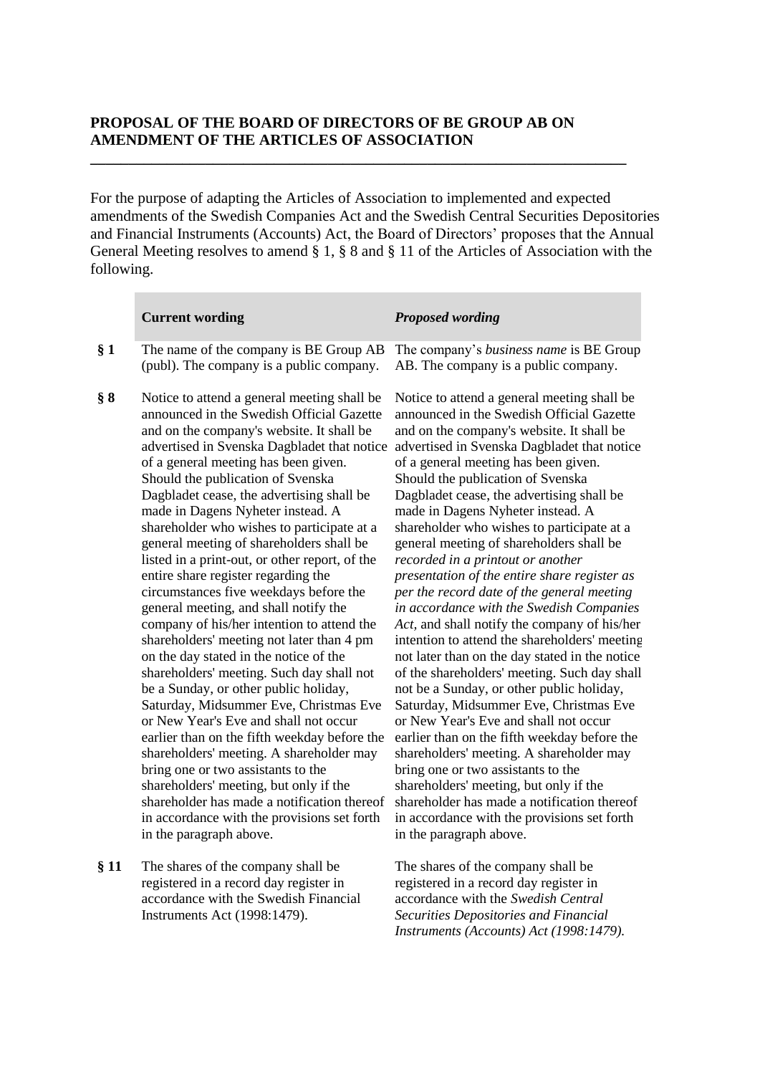## **PROPOSAL OF THE BOARD OF DIRECTORS OF BE GROUP AB ON AMENDMENT OF THE ARTICLES OF ASSOCIATION**

**\_\_\_\_\_\_\_\_\_\_\_\_\_\_\_\_\_\_\_\_\_\_\_\_\_\_\_\_\_\_\_\_\_\_\_\_\_\_\_\_\_\_\_\_\_\_\_\_\_\_\_\_\_\_\_\_\_\_\_\_\_\_\_\_\_\_\_\_\_\_**

For the purpose of adapting the Articles of Association to implemented and expected amendments of the Swedish Companies Act and the Swedish Central Securities Depositories and Financial Instruments (Accounts) Act, the Board of Directors' proposes that the Annual General Meeting resolves to amend § 1, § 8 and § 11 of the Articles of Association with the following.

|     | <b>Current wording</b>                                                                                                                                                                                                                                                                                                                                                                                                                                                                                                                                                                                                                                                                                                                                                                                                                                                                                                                                                                                                                                                                                                                                                                                                                       | <b>Proposed wording</b>                                                                                                                                                                                                                                                                                                                                                                                                                                                                                                                                                                                                                                                                                                                                                                                                                                                                                                                                                                                                                                                                                                                                                                                                                                              |
|-----|----------------------------------------------------------------------------------------------------------------------------------------------------------------------------------------------------------------------------------------------------------------------------------------------------------------------------------------------------------------------------------------------------------------------------------------------------------------------------------------------------------------------------------------------------------------------------------------------------------------------------------------------------------------------------------------------------------------------------------------------------------------------------------------------------------------------------------------------------------------------------------------------------------------------------------------------------------------------------------------------------------------------------------------------------------------------------------------------------------------------------------------------------------------------------------------------------------------------------------------------|----------------------------------------------------------------------------------------------------------------------------------------------------------------------------------------------------------------------------------------------------------------------------------------------------------------------------------------------------------------------------------------------------------------------------------------------------------------------------------------------------------------------------------------------------------------------------------------------------------------------------------------------------------------------------------------------------------------------------------------------------------------------------------------------------------------------------------------------------------------------------------------------------------------------------------------------------------------------------------------------------------------------------------------------------------------------------------------------------------------------------------------------------------------------------------------------------------------------------------------------------------------------|
| § 1 | The name of the company is BE Group AB<br>(publ). The company is a public company.                                                                                                                                                                                                                                                                                                                                                                                                                                                                                                                                                                                                                                                                                                                                                                                                                                                                                                                                                                                                                                                                                                                                                           | The company's business name is BE Group<br>AB. The company is a public company.                                                                                                                                                                                                                                                                                                                                                                                                                                                                                                                                                                                                                                                                                                                                                                                                                                                                                                                                                                                                                                                                                                                                                                                      |
| § 8 | Notice to attend a general meeting shall be<br>announced in the Swedish Official Gazette<br>and on the company's website. It shall be<br>advertised in Svenska Dagbladet that notice<br>of a general meeting has been given.<br>Should the publication of Svenska<br>Dagbladet cease, the advertising shall be<br>made in Dagens Nyheter instead. A<br>shareholder who wishes to participate at a<br>general meeting of shareholders shall be<br>listed in a print-out, or other report, of the<br>entire share register regarding the<br>circumstances five weekdays before the<br>general meeting, and shall notify the<br>company of his/her intention to attend the<br>shareholders' meeting not later than 4 pm<br>on the day stated in the notice of the<br>shareholders' meeting. Such day shall not<br>be a Sunday, or other public holiday,<br>Saturday, Midsummer Eve, Christmas Eve<br>or New Year's Eve and shall not occur<br>earlier than on the fifth weekday before the<br>shareholders' meeting. A shareholder may<br>bring one or two assistants to the<br>shareholders' meeting, but only if the<br>shareholder has made a notification thereof<br>in accordance with the provisions set forth<br>in the paragraph above. | Notice to attend a general meeting shall be<br>announced in the Swedish Official Gazette<br>and on the company's website. It shall be<br>advertised in Svenska Dagbladet that notice<br>of a general meeting has been given.<br>Should the publication of Svenska<br>Dagbladet cease, the advertising shall be<br>made in Dagens Nyheter instead. A<br>shareholder who wishes to participate at a<br>general meeting of shareholders shall be<br>recorded in a printout or another<br>presentation of the entire share register as<br>per the record date of the general meeting<br>in accordance with the Swedish Companies<br>Act, and shall notify the company of his/her<br>intention to attend the shareholders' meeting<br>not later than on the day stated in the notice<br>of the shareholders' meeting. Such day shall<br>not be a Sunday, or other public holiday,<br>Saturday, Midsummer Eve, Christmas Eve<br>or New Year's Eve and shall not occur<br>earlier than on the fifth weekday before the<br>shareholders' meeting. A shareholder may<br>bring one or two assistants to the<br>shareholders' meeting, but only if the<br>shareholder has made a notification thereof<br>in accordance with the provisions set forth<br>in the paragraph above. |
|     |                                                                                                                                                                                                                                                                                                                                                                                                                                                                                                                                                                                                                                                                                                                                                                                                                                                                                                                                                                                                                                                                                                                                                                                                                                              |                                                                                                                                                                                                                                                                                                                                                                                                                                                                                                                                                                                                                                                                                                                                                                                                                                                                                                                                                                                                                                                                                                                                                                                                                                                                      |

**§ 11** The shares of the company shall be registered in a record day register in accordance with the Swedish Financial Instruments Act (1998:1479).

The shares of the company shall be registered in a record day register in accordance with the *Swedish Central Securities Depositories and Financial Instruments (Accounts) Act (1998:1479).*